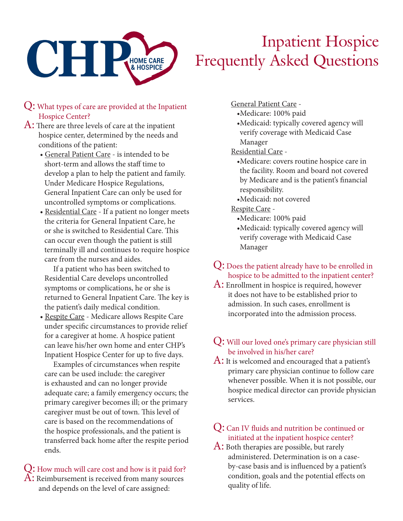

# Inpatient Hospice Frequently Asked Questions

- Q: What types of care are provided at the Inpatient Hospice Center?
- A: There are three levels of care at the inpatient hospice center, determined by the needs and conditions of the patient:
	- General Patient Care is intended to be short-term and allows the staff time to develop a plan to help the patient and family. Under Medicare Hospice Regulations, General Inpatient Care can only be used for uncontrolled symptoms or complications.
	- Residential Care If a patient no longer meets the criteria for General Inpatient Care, he or she is switched to Residential Care. This can occur even though the patient is still terminally ill and continues to require hospice care from the nurses and aides.

If a patient who has been switched to Residential Care develops uncontrolled symptoms or complications, he or she is returned to General Inpatient Care. The key is the patient's daily medical condition.

• Respite Care - Medicare allows Respite Care under specific circumstances to provide relief for a caregiver at home. A hospice patient can leave his/her own home and enter CHP's Inpatient Hospice Center for up to five days.

Examples of circumstances when respite care can be used include: the caregiver is exhausted and can no longer provide adequate care; a family emergency occurs; the primary caregiver becomes ill; or the primary caregiver must be out of town. This level of care is based on the recommendations of the hospice professionals, and the patient is transferred back home after the respite period ends.

#### Q: How much will care cost and how is it paid for?  $\rm A\colon$  Reimbursement is received from many sources and depends on the level of care assigned:

General Patient Care -

- •Medicare: 100% paid
- •Medicaid: typically covered agency will verify coverage with Medicaid Case Manager

Residential Care -

- •Medicare: covers routine hospice care in the facility. Room and board not covered by Medicare and is the patient's financial responsibility.
- •Medicaid: not covered

Respite Care -

- •Medicare: 100% paid
- •Medicaid: typically covered agency will verify coverage with Medicaid Case Manager

Q: Does the patient already have to be enrolled in hospice to be admitted to the inpatient center?

A: Enrollment in hospice is required, however it does not have to be established prior to admission. In such cases, enrollment is incorporated into the admission process.

### Q: Will our loved one's primary care physician still be involved in his/her care?

A: It is welcomed and encouraged that a patient's primary care physician continue to follow care whenever possible. When it is not possible, our hospice medical director can provide physician services.

## Q: Can IV fluids and nutrition be continued or initiated at the inpatient hospice center?

A: Both therapies are possible, but rarely administered. Determination is on a caseby-case basis and is influenced by a patient's condition, goals and the potential effects on quality of life.